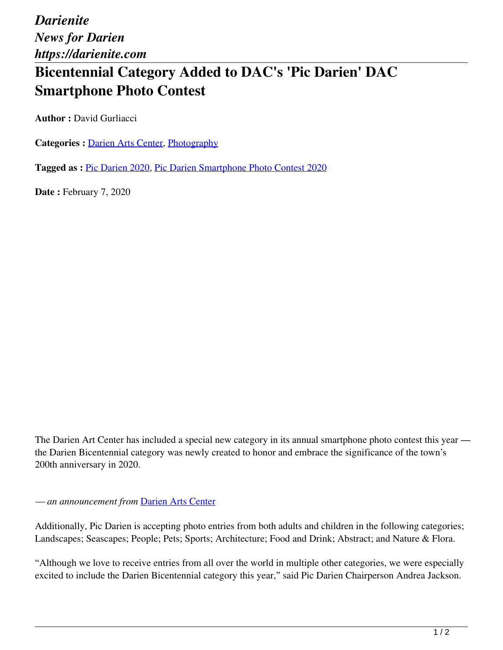*Darienite News for Darien https://darienite.com*

## **Bicentennial Category Added to DAC's 'Pic Darien' DAC Smartphone Photo Contest**

**Author :** David Gurliacci

Categories : [Darien Arts Center](https://darienite.com/category/darien-arts-center), Photography

**Tagged as :** Pic Darien 2020, Pic Darien Smartphone Photo Contest 2020

**Date : February 7, 2020** 

The Darien Art Center has included a special new category in its annual smartphone photo contest this year the Darien Bicentennial category was newly created to honor and embrace the significance of the town's 200th anniversary in 2020.

## *— an announcement from* Darien Arts Center

Additionally, Pic Darien is accepting photo entries from both adults and children in the following categories; Landscapes; Seascapes; People; Pets; Sports; Architecture; Food and Drink; Abstract; and Nature & Flora.

"Although we love to receive entries from all over the world in multiple other categories, we were especially excited to include the Darien Bicentennial category this year," said Pic Darien Chairperson Andrea Jackson.